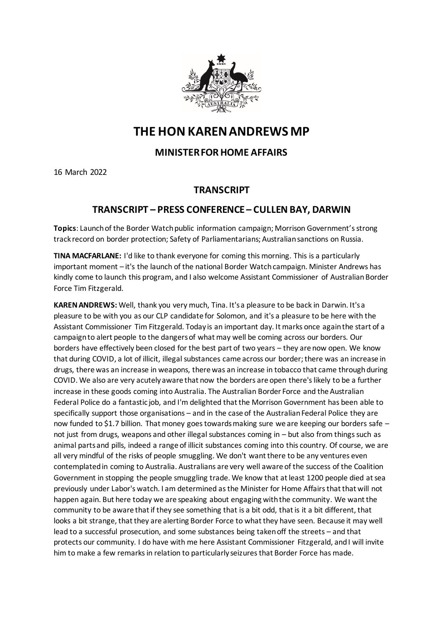

## **THE HON KAREN ANDREWS MP**

## **MINISTER FOR HOME AFFAIRS**

16 March 2022

## **TRANSCRIPT**

## **TRANSCRIPT – PRESS CONFERENCE – CULLEN BAY, DARWIN**

**Topics**: Launch of the Border Watch public information campaign; Morrison Government's strong track record on border protection; Safety of Parliamentarians; Australian sanctions on Russia.

**TINA MACFARLANE:** I'd like to thank everyone for coming this morning. This is a particularly important moment – it's the launch of the national Border Watch campaign. Minister Andrews has kindly come to launch this program, and I also welcome Assistant Commissioner of Australian Border Force Tim Fitzgerald.

**KAREN ANDREWS:** Well, thank you very much, Tina. It's a pleasure to be back in Darwin. It's a pleasure to be with you as our CLP candidate for Solomon, and it's a pleasure to be here with the Assistant Commissioner Tim Fitzgerald. Today is an important day. It marks once again the start of a campaign to alert people to the dangers of what may well be coming across our borders. Our borders have effectively been closed for the best part of two years – they are now open. We know that during COVID, a lot of illicit, illegal substances came across our border; there was an increase in drugs, there was an increase in weapons, there was an increase in tobacco that came through during COVID. We also are very acutely aware that now the borders are open there's likely to be a further increase in these goods coming into Australia. The Australian Border Force and the Australian Federal Police do a fantastic job, and I'm delighted that the Morrison Government has been able to specifically support those organisations – and in the case of the Australian Federal Police they are now funded to \$1.7 billion. That money goes towards making sure we are keeping our borders safe – not just from drugs, weapons and other illegal substances coming in – but also from things such as animal parts and pills, indeed a range of illicit substances coming into this country. Of course, we are all very mindful of the risks of people smuggling. We don't want there to be any ventures even contemplated in coming to Australia. Australians are very well aware of the success of the Coalition Government in stopping the people smuggling trade. We know that at least 1200 people died at sea previously under Labor's watch. I am determined as the Minister for Home Affairs that that will not happen again. But here today we are speaking about engaging with the community. We want the community to be aware that if they see something that is a bit odd, that is it a bit different, that looks a bit strange, that they are alerting Border Force to what they have seen. Because it may well lead to a successful prosecution, and some substances being taken off the streets – and that protects our community. I do have with me here Assistant Commissioner Fitzgerald, and I will invite him to make a few remarks in relation to particularly seizures that Border Force has made.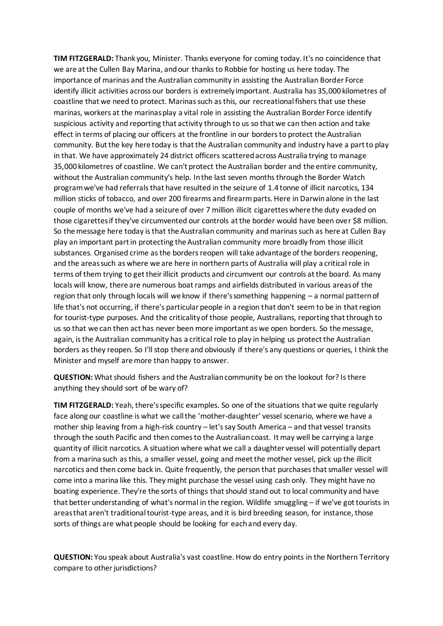**TIM FITZGERALD:** Thank you, Minister. Thanks everyone for coming today. It's no coincidence that we are at the Cullen Bay Marina, and our thanks to Robbie for hosting us here today. The importance of marinas and the Australian community in assisting the Australian Border Force identify illicit activities across our borders is extremely important. Australia has 35,000 kilometres of coastline that we need to protect. Marinas such as this, our recreational fishers that use these marinas, workers at the marinas play a vital role in assisting the Australian Border Force identify suspicious activity and reporting that activity through to us so that we can then action and take effect in terms of placing our officers at the frontline in our borders to protect the Australian community. But the key here today is that the Australian community and industry have a part to play in that. We have approximately 24 district officers scattered across Australia trying to manage 35,000 kilometres of coastline. We can't protect the Australian border and the entire community, without the Australian community's help. In the last seven months through the Border Watch program we've had referrals that have resulted in the seizure of 1.4 tonne of illicit narcotics, 134 million sticks of tobacco, and over 200 firearms and firearm parts. Here in Darwin alone in the last couple of months we've had a seizure of over 7 million illicit cigarettes where the duty evaded on those cigarettes if they've circumvented our controls at the border would have been over \$8 million. So the message here today is that the Australian community and marinas such as here at Cullen Bay play an important part in protecting the Australian community more broadly from those illicit substances. Organised crime as the borders reopen will take advantage of the borders reopening, and the areas such as where we are here in northern parts of Australia will play a critical role in terms of them trying to get their illicit products and circumvent our controls at the board. As many locals will know, there are numerous boat ramps and airfields distributed in various areas of the region that only through locals will we know if there's something happening – a normal pattern of life that's not occurring, if there's particular people in a region that don't seem to be in that region for tourist-type purposes. And the criticality of those people, Australians, reporting that through to us so that we can then act has never been more important as we open borders. So the message, again, is the Australian community has a critical role to play in helping us protect the Australian borders as they reopen. So I'll stop there and obviously if there's any questions or queries, I think the Minister and myself are more than happy to answer.

**QUESTION:** What should fishers and the Australian community be on the lookout for? Is there anything they should sort of be wary of?

**TIM FITZGERALD:** Yeah, there's specific examples. So one of the situations that we quite regularly face along our coastline is what we call the 'mother-daughter' vessel scenario, where we have a mother ship leaving from a high-risk country – let's say South America – and that vessel transits through the south Pacific and then comes to the Australian coast. It may well be carrying a large quantity of illicit narcotics. A situation where what we call a daughter vessel will potentially depart from a marina such as this, a smaller vessel, going and meet the mother vessel, pick up the illicit narcotics and then come back in. Quite frequently, the person that purchases that smaller vessel will come into a marina like this. They might purchase the vessel using cash only. They might have no boating experience. They're the sorts of things that should stand out to local community and have that better understanding of what's normal in the region. Wildlife smuggling – if we've got tourists in areas that aren't traditional tourist-type areas, and it is bird breeding season, for instance, those sorts of things are what people should be looking for each and every day.

**QUESTION:** You speak about Australia's vast coastline. How do entry points in the Northern Territory compare to other jurisdictions?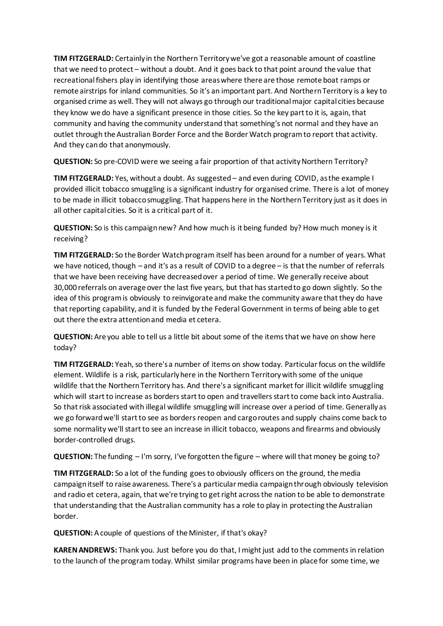**TIM FITZGERALD:** Certainly in the Northern Territory we've got a reasonable amount of coastline that we need to protect – without a doubt. And it goes back to that point around the value that recreational fishers play in identifying those areas where there are those remote boat ramps or remote airstrips for inland communities. So it's an important part. And Northern Territory is a key to organised crime as well. They will not always go through our traditional major capital cities because they know we do have a significant presence in those cities. So the key part to it is, again, that community and having the community understand that something's not normal and they have an outlet through the Australian Border Force and the Border Watch program to report that activity. And they can do that anonymously.

**QUESTION:** So pre-COVID were we seeing a fair proportion of that activity Northern Territory?

**TIM FITZGERALD:** Yes, without a doubt. As suggested – and even during COVID, as the example I provided illicit tobacco smuggling is a significant industry for organised crime. There is a lot of money to be made in illicit tobacco smuggling. That happens here in the Northern Territory just as it does in all other capital cities. So it is a critical part of it.

**QUESTION:** So is this campaign new? And how much is it being funded by? How much money is it receiving?

**TIM FITZGERALD:** So the Border Watch program itself has been around for a number of years. What we have noticed, though – and it's as a result of COVID to a degree – is that the number of referrals that we have been receiving have decreased over a period of time. We generally receive about 30,000 referrals on average over the last five years, but that has started to go down slightly. So the idea of this program is obviously to reinvigorate and make the community aware that they do have that reporting capability, and it is funded by the Federal Government in terms of being able to get out there the extra attention and media et cetera.

**QUESTION:** Are you able to tell us a little bit about some of the items that we have on show here today?

**TIM FITZGERALD:** Yeah, so there's a number of items on show today. Particular focus on the wildlife element. Wildlife is a risk, particularly here in the Northern Territory with some of the unique wildlife that the Northern Territory has. And there's a significant market for illicit wildlife smuggling which will start to increase as borders start to open and travellers start to come back into Australia. So that risk associated with illegal wildlife smuggling will increase over a period of time. Generally as we go forward we'll start to see as borders reopen and cargo routes and supply chains come back to some normality we'll start to see an increase in illicit tobacco, weapons and firearms and obviously border-controlled drugs.

**QUESTION:** The funding – I'm sorry, I've forgotten the figure – where will that money be going to?

**TIM FITZGERALD:** So a lot of the funding goes to obviously officers on the ground, the media campaign itself to raise awareness. There's a particular media campaign through obviously television and radio et cetera, again, that we're trying to get right across the nation to be able to demonstrate that understanding that the Australian community has a role to play in protecting the Australian border.

**QUESTION:** A couple of questions of the Minister, if that's okay?

**KAREN ANDREWS:** Thank you. Just before you do that, I might just add to the comments in relation to the launch of the program today. Whilst similar programs have been in place for some time, we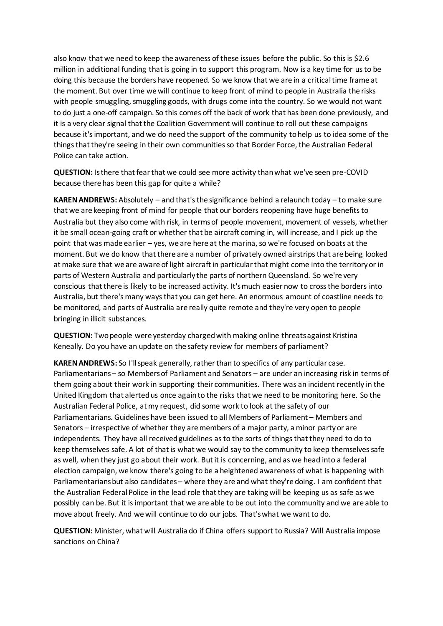also know that we need to keep the awareness of these issues before the public. So this is \$2.6 million in additional funding that is going in to support this program. Now is a key time for us to be doing this because the borders have reopened. So we know that we are in a critical time frame at the moment. But over time we will continue to keep front of mind to people in Australia the risks with people smuggling, smuggling goods, with drugs come into the country. So we would not want to do just a one-off campaign. So this comes off the back of work that has been done previously, and it is a very clear signal that the Coalition Government will continue to roll out these campaigns because it's important, and we do need the support of the community to help us to idea some of the things that they're seeing in their own communities so that Border Force, the Australian Federal Police can take action.

**QUESTION:** Is there that fear that we could see more activity than what we've seen pre-COVID because there has been this gap for quite a while?

**KAREN ANDREWS:** Absolutely – and that's the significance behind a relaunch today – to make sure that we are keeping front of mind for people that our borders reopening have huge benefits to Australia but they also come with risk, in terms of people movement, movement of vessels, whether it be small ocean-going craft or whether that be aircraft coming in, will increase, and I pick up the point that was made earlier – yes, we are here at the marina, so we're focused on boats at the moment. But we do know that there are a number of privately owned airstrips that are being looked at make sure that we are aware of light aircraft in particular that might come into the territory or in parts of Western Australia and particularly the parts of northern Queensland. So we're very conscious that there is likely to be increased activity. It's much easier now to cross the borders into Australia, but there's many ways that you can get here. An enormous amount of coastline needs to be monitored, and parts of Australia are really quite remote and they're very open to people bringing in illicit substances.

**QUESTION:** Two people were yesterday charged with making online threats against Kristina Keneally. Do you have an update on the safety review for members of parliament?

**KAREN ANDREWS:** So I'll speak generally, rather than to specifics of any particular case. Parliamentarians – so Members of Parliament and Senators – are under an increasing risk in terms of them going about their work in supporting their communities. There was an incident recently in the United Kingdom that alerted us once again to the risks that we need to be monitoring here. So the Australian Federal Police, at my request, did some work to look at the safety of our Parliamentarians. Guidelines have been issued to all Members of Parliament – Members and Senators – irrespective of whether they are members of a major party, a minor party or are independents. They have all received guidelines as to the sorts of things that they need to do to keep themselves safe. A lot of that is what we would say to the community to keep themselves safe as well, when they just go about their work. But it is concerning, and as we head into a federal election campaign, we know there's going to be a heightened awareness of what is happening with Parliamentarians but also candidates – where they are and what they're doing. I am confident that the Australian Federal Police in the lead role that they are taking will be keeping us as safe as we possibly can be. But it is important that we are able to be out into the community and we are able to move about freely. And we will continue to do our jobs. That's what we want to do.

**QUESTION:** Minister, what will Australia do if China offers support to Russia? Will Australia impose sanctions on China?